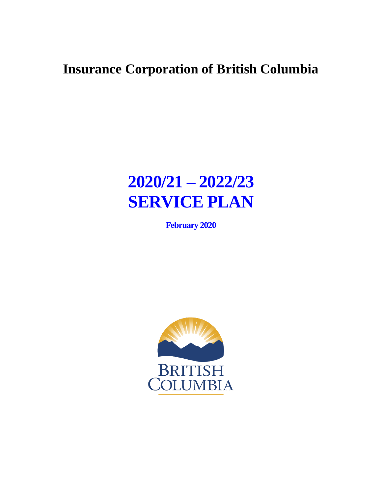# **Insurance Corporation of British Columbia**

# **2020/21 – 2022/23 SERVICE PLAN**

**February 2020**

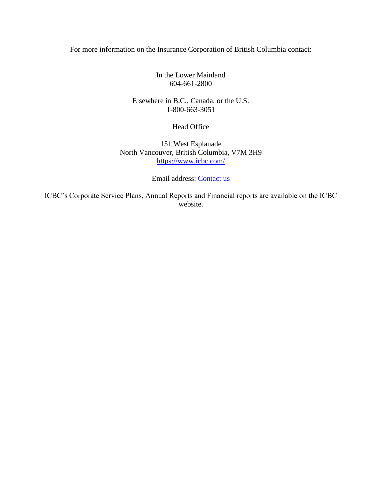#### For more information on the Insurance Corporation of British Columbia contact:

In the Lower Mainland 604-661-2800

Elsewhere in B.C., Canada, or the U.S. 1-800-663-3051

Head Office

151 West Esplanade North Vancouver, British Columbia, V7M 3H9 <https://www.icbc.com/>

Email address: [Contact us](https://www.icbc.com/about-icbc/contact-us/Pages/default.aspx)

ICBC's Corporate Service Plans, Annual Reports and Financial reports are available on the ICBC website.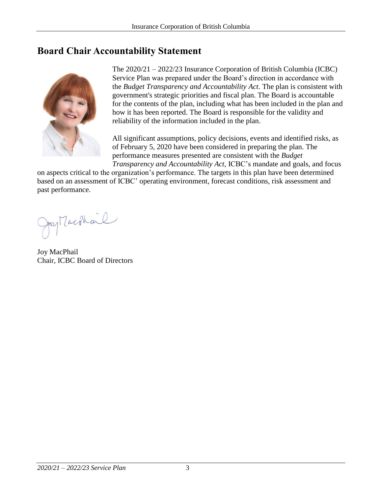# <span id="page-2-0"></span>**Board Chair Accountability Statement**



The 2020/21 – 2022/23 Insurance Corporation of British Columbia (ICBC) Service Plan was prepared under the Board's direction in accordance with the *Budget Transparency and Accountability Act*. The plan is consistent with government's strategic priorities and fiscal plan. The Board is accountable for the contents of the plan, including what has been included in the plan and how it has been reported. The Board is responsible for the validity and reliability of the information included in the plan.

All significant assumptions, policy decisions, events and identified risks, as of February 5, 2020 have been considered in preparing the plan. The performance measures presented are consistent with the *Budget Transparency and Accountability Act*, ICBC's mandate and goals, and focus

on aspects critical to the organization's performance. The targets in this plan have been determined based on an assessment of ICBC' operating environment, forecast conditions, risk assessment and past performance.

Jay Machtenl

Joy MacPhail Chair, ICBC Board of Directors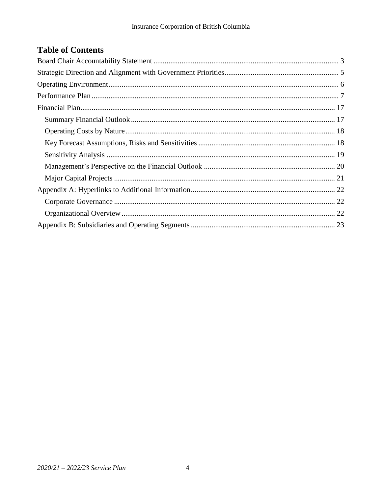# **Table of Contents**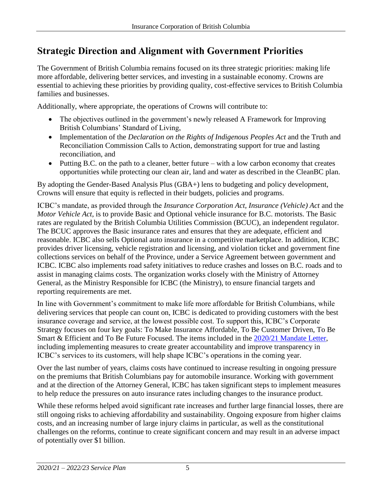# <span id="page-4-0"></span>**Strategic Direction and Alignment with Government Priorities**

The Government of British Columbia remains focused on its three strategic priorities: making life more affordable, delivering better services, and investing in a sustainable economy. Crowns are essential to achieving these priorities by providing quality, cost-effective services to British Columbia families and businesses.

Additionally, where appropriate, the operations of Crowns will contribute to:

- The objectives outlined in the government's newly released A Framework for Improving British Columbians' Standard of Living,
- Implementation of the *Declaration on the Rights of Indigenous Peoples Act* and the Truth and Reconciliation Commission Calls to Action, demonstrating support for true and lasting reconciliation, and
- Putting B.C. on the path to a cleaner, better future with a low carbon economy that creates opportunities while protecting our clean air, land and water as described in the CleanBC plan.

By adopting the Gender-Based Analysis Plus (GBA+) lens to budgeting and policy development, Crowns will ensure that equity is reflected in their budgets, policies and programs.

ICBC's mandate, as provided through the *Insurance Corporation Act, Insurance (Vehicle) Act* and the *Motor Vehicle Act*, is to provide Basic and Optional vehicle insurance for B.C. motorists. The Basic rates are regulated by the British Columbia Utilities Commission (BCUC), an independent regulator. The BCUC approves the Basic insurance rates and ensures that they are adequate, efficient and reasonable. ICBC also sells Optional auto insurance in a competitive marketplace. In addition, ICBC provides driver licensing, vehicle registration and licensing, and violation ticket and government fine collections services on behalf of the Province, under a Service Agreement between government and ICBC. ICBC also implements road safety initiatives to reduce crashes and losses on B.C. roads and to assist in managing claims costs. The organization works closely with the Ministry of Attorney General, as the Ministry Responsible for ICBC (the Ministry), to ensure financial targets and reporting requirements are met.

In line with Government's commitment to make life more affordable for British Columbians, while delivering services that people can count on, ICBC is dedicated to providing customers with the best insurance coverage and service, at the lowest possible cost. To support this, ICBC's Corporate Strategy focuses on four key goals: To Make Insurance Affordable, To Be Customer Driven, To Be Smart & Efficient and To Be Future Focused. The items included in the [2020/21 Mandate Letter,](https://www.icbc.com/about-icbc/company-info/Documents/mandate-letter-2020-2021.pdf) including implementing measures to create greater accountability and improve transparency in ICBC's services to its customers, will help shape ICBC's operations in the coming year.

Over the last number of years, claims costs have continued to increase resulting in ongoing pressure on the premiums that British Columbians pay for automobile insurance. Working with government and at the direction of the Attorney General, ICBC has taken significant steps to implement measures to help reduce the pressures on auto insurance rates including changes to the insurance product.

While these reforms helped avoid significant rate increases and further large financial losses, there are still ongoing risks to achieving affordability and sustainability. Ongoing exposure from higher claims costs, and an increasing number of large injury claims in particular, as well as the constitutional challenges on the reforms, continue to create significant concern and may result in an adverse impact of potentially over \$1 billion.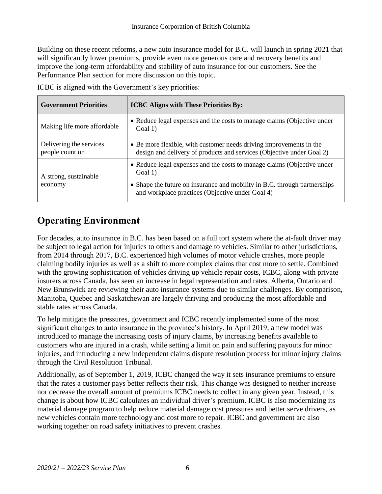Building on these recent reforms, a new auto insurance model for B.C. will launch in spring 2021 that will significantly lower premiums, provide even more generous care and recovery benefits and improve the long-term affordability and stability of auto insurance for our customers. See the Performance Plan section for more discussion on this topic.

| <b>Government Priorities</b>               | <b>ICBC Aligns with These Priorities By:</b>                                                                                                                                                                        |
|--------------------------------------------|---------------------------------------------------------------------------------------------------------------------------------------------------------------------------------------------------------------------|
| Making life more affordable                | • Reduce legal expenses and the costs to manage claims (Objective under<br>Goal 1)                                                                                                                                  |
| Delivering the services<br>people count on | • Be more flexible, with customer needs driving improvements in the<br>design and delivery of products and services (Objective under Goal 2)                                                                        |
| A strong, sustainable<br>economy           | • Reduce legal expenses and the costs to manage claims (Objective under<br>Goal 1)<br>• Shape the future on insurance and mobility in B.C. through partnerships<br>and workplace practices (Objective under Goal 4) |

ICBC is aligned with the Government's key priorities:

# <span id="page-5-0"></span>**Operating Environment**

For decades, auto insurance in B.C. has been based on a full tort system where the at-fault driver may be subject to legal action for injuries to others and damage to vehicles. Similar to other jurisdictions, from 2014 through 2017, B.C. experienced high volumes of motor vehicle crashes, more people claiming bodily injuries as well as a shift to more complex claims that cost more to settle. Combined with the growing sophistication of vehicles driving up vehicle repair costs, ICBC, along with private insurers across Canada, has seen an increase in legal representation and rates. Alberta, Ontario and New Brunswick are reviewing their auto insurance systems due to similar challenges. By comparison, Manitoba, Quebec and Saskatchewan are largely thriving and producing the most affordable and stable rates across Canada.

To help mitigate the pressures, government and ICBC recently implemented some of the most significant changes to auto insurance in the province's history. In April 2019, a new model was introduced to manage the increasing costs of injury claims, by increasing benefits available to customers who are injured in a crash, while setting a limit on pain and suffering payouts for minor injuries, and introducing a new independent claims dispute resolution process for minor injury claims through the Civil Resolution Tribunal.

Additionally, as of September 1, 2019, ICBC changed the way it sets insurance premiums to ensure that the rates a customer pays better reflects their risk. This change was designed to neither increase nor decrease the overall amount of premiums ICBC needs to collect in any given year. Instead, this change is about how ICBC calculates an individual driver's premium. ICBC is also modernizing its material damage program to help reduce material damage cost pressures and better serve drivers, as new vehicles contain more technology and cost more to repair. ICBC and government are also working together on road safety initiatives to prevent crashes.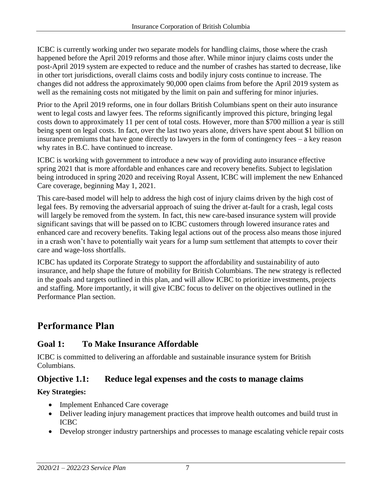ICBC is currently working under two separate models for handling claims, those where the crash happened before the April 2019 reforms and those after. While minor injury claims costs under the post-April 2019 system are expected to reduce and the number of crashes has started to decrease, like in other tort jurisdictions, overall claims costs and bodily injury costs continue to increase. The changes did not address the approximately 90,000 open claims from before the April 2019 system as well as the remaining costs not mitigated by the limit on pain and suffering for minor injuries.

Prior to the April 2019 reforms, one in four dollars British Columbians spent on their auto insurance went to legal costs and lawyer fees. The reforms significantly improved this picture, bringing legal costs down to approximately 11 per cent of total costs. However, more than \$700 million a year is still being spent on legal costs. In fact, over the last two years alone, drivers have spent about \$1 billion on insurance premiums that have gone directly to lawyers in the form of contingency fees – a key reason why rates in B.C. have continued to increase.

ICBC is working with government to introduce a new way of providing auto insurance effective spring 2021 that is more affordable and enhances care and recovery benefits. Subject to legislation being introduced in spring 2020 and receiving Royal Assent, ICBC will implement the new Enhanced Care coverage, beginning May 1, 2021.

This care-based model will help to address the high cost of injury claims driven by the high cost of legal fees. By removing the adversarial approach of suing the driver at-fault for a crash, legal costs will largely be removed from the system. In fact, this new care-based insurance system will provide significant savings that will be passed on to ICBC customers through lowered insurance rates and enhanced care and recovery benefits. Taking legal actions out of the process also means those injured in a crash won't have to potentially wait years for a lump sum settlement that attempts to cover their care and wage-loss shortfalls.

ICBC has updated its Corporate Strategy to support the affordability and sustainability of auto insurance, and help shape the future of mobility for British Columbians. The new strategy is reflected in the goals and targets outlined in this plan, and will allow ICBC to prioritize investments, projects and staffing. More importantly, it will give ICBC focus to deliver on the objectives outlined in the Performance Plan section.

# <span id="page-6-0"></span>**Performance Plan**

# **Goal 1: To Make Insurance Affordable**

ICBC is committed to delivering an affordable and sustainable insurance system for British Columbians.

# **Objective 1.1: Reduce legal expenses and the costs to manage claims**

#### **Key Strategies:**

- Implement Enhanced Care coverage
- Deliver leading injury management practices that improve health outcomes and build trust in ICBC
- Develop stronger industry partnerships and processes to manage escalating vehicle repair costs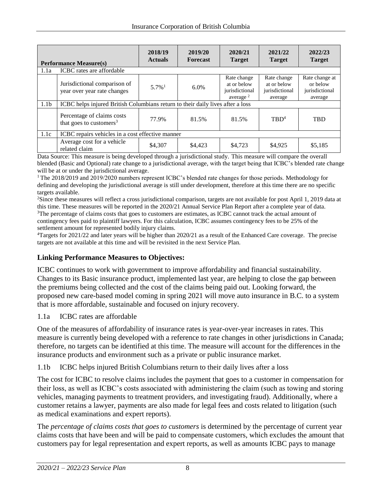|                  | <b>Performance Measure(s)</b>                                     | 2018/19<br><b>Actuals</b> | 2019/20<br><b>Forecast</b>                                                     | 2020/21<br><b>Target</b>                                    | 2021/22<br><b>Target</b>                                | 2022/23<br><b>Target</b>                                |  |  |
|------------------|-------------------------------------------------------------------|---------------------------|--------------------------------------------------------------------------------|-------------------------------------------------------------|---------------------------------------------------------|---------------------------------------------------------|--|--|
| 1.1a             | ICBC rates are affordable                                         |                           |                                                                                |                                                             |                                                         |                                                         |  |  |
|                  | Jurisdictional comparison of<br>year over year rate changes       | $5.7\%$ <sup>1</sup>      | 6.0%                                                                           | Rate change<br>at or below<br>jurisdictional<br>average $2$ | Rate change<br>at or below<br>jurisdictional<br>average | Rate change at<br>or below<br>jurisdictional<br>average |  |  |
| 1.1 <sub>b</sub> |                                                                   |                           | ICBC helps injured British Columbians return to their daily lives after a loss |                                                             |                                                         |                                                         |  |  |
|                  | Percentage of claims costs<br>that goes to customers <sup>3</sup> | 77.9%                     | 81.5%                                                                          | 81.5%                                                       | TRD <sup>4</sup>                                        | <b>TBD</b>                                              |  |  |
| 1.1c             | ICBC repairs vehicles in a cost effective manner                  |                           |                                                                                |                                                             |                                                         |                                                         |  |  |
|                  | Average cost for a vehicle<br>related claim                       | \$4,307                   | \$4,423                                                                        | \$4,723                                                     | \$4,925                                                 | \$5,185                                                 |  |  |

Data Source: This measure is being developed through a jurisdictional study. This measure will compare the overall blended (Basic and Optional) rate change to a jurisdictional average, with the target being that ICBC's blended rate change will be at or under the jurisdictional average.

<sup>1</sup>The 2018/2019 and 2019/2020 numbers represent ICBC's blended rate changes for those periods. Methodology for defining and developing the jurisdictional average is still under development, therefore at this time there are no specific targets available.

<sup>2</sup>Since these measures will reflect a cross jurisdictional comparison, targets are not available for post April 1, 2019 data at this time. These measures will be reported in the 2020/21 Annual Service Plan Report after a complete year of data. <sup>3</sup>The percentage of claims costs that goes to customers are estimates, as ICBC cannot track the actual amount of contingency fees paid to plaintiff lawyers. For this calculation, ICBC assumes contingency fees to be 25% of the settlement amount for represented bodily injury claims.

<sup>4</sup>Targets for 2021/22 and later years will be higher than 2020/21 as a result of the Enhanced Care coverage. The precise targets are not available at this time and will be revisited in the next Service Plan.

#### **Linking Performance Measures to Objectives:**

ICBC continues to work with government to improve affordability and financial sustainability. Changes to its Basic insurance product, implemented last year, are helping to close the gap between the premiums being collected and the cost of the claims being paid out. Looking forward, the proposed new care-based model coming in spring 2021 will move auto insurance in B.C. to a system that is more affordable, sustainable and focused on injury recovery.

1.1a ICBC rates are affordable

One of the measures of affordability of insurance rates is year-over-year increases in rates. This measure is currently being developed with a reference to rate changes in other jurisdictions in Canada; therefore, no targets can be identified at this time. The measure will account for the differences in the insurance products and environment such as a private or public insurance market.

1.1b ICBC helps injured British Columbians return to their daily lives after a loss

The cost for ICBC to resolve claims includes the payment that goes to a customer in compensation for their loss, as well as ICBC's costs associated with administering the claim (such as towing and storing vehicles, managing payments to treatment providers, and investigating fraud). Additionally, where a customer retains a lawyer, payments are also made for legal fees and costs related to litigation (such as medical examinations and expert reports).

The *percentage of claims costs that goes to customers* is determined by the percentage of current year claims costs that have been and will be paid to compensate customers, which excludes the amount that customers pay for legal representation and expert reports, as well as amounts ICBC pays to manage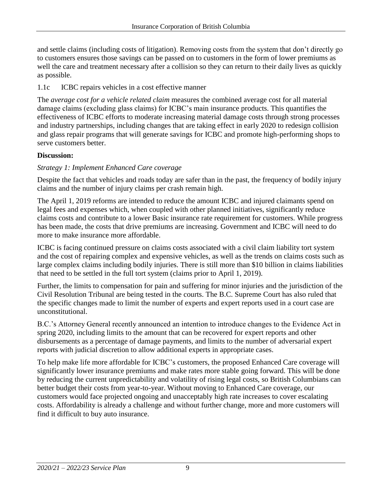and settle claims (including costs of litigation). Removing costs from the system that don't directly go to customers ensures those savings can be passed on to customers in the form of lower premiums as well the care and treatment necessary after a collision so they can return to their daily lives as quickly as possible.

1.1c ICBC repairs vehicles in a cost effective manner

The *average cost for a vehicle related claim* measures the combined average cost for all material damage claims (excluding glass claims) for ICBC's main insurance products. This quantifies the effectiveness of ICBC efforts to moderate increasing material damage costs through strong processes and industry partnerships, including changes that are taking effect in early 2020 to redesign collision and glass repair programs that will generate savings for ICBC and promote high-performing shops to serve customers better.

#### **Discussion:**

#### *Strategy 1: Implement Enhanced Care coverage*

Despite the fact that vehicles and roads today are safer than in the past, the frequency of bodily injury claims and the number of injury claims per crash remain high.

The April 1, 2019 reforms are intended to reduce the amount ICBC and injured claimants spend on legal fees and expenses which, when coupled with other planned initiatives, significantly reduce claims costs and contribute to a lower Basic insurance rate requirement for customers. While progress has been made, the costs that drive premiums are increasing. Government and ICBC will need to do more to make insurance more affordable.

ICBC is facing continued pressure on claims costs associated with a civil claim liability tort system and the cost of repairing complex and expensive vehicles, as well as the trends on claims costs such as large complex claims including bodily injuries. There is still more than \$10 billion in claims liabilities that need to be settled in the full tort system (claims prior to April 1, 2019).

Further, the limits to compensation for pain and suffering for minor injuries and the jurisdiction of the Civil Resolution Tribunal are being tested in the courts. The B.C. Supreme Court has also ruled that the specific changes made to limit the number of experts and expert reports used in a court case are unconstitutional.

B.C.'s Attorney General recently announced an intention to introduce changes to the Evidence Act in spring 2020, including limits to the amount that can be recovered for expert reports and other disbursements as a percentage of damage payments, and limits to the number of adversarial expert reports with judicial discretion to allow additional experts in appropriate cases.

To help make life more affordable for ICBC's customers, the proposed Enhanced Care coverage will significantly lower insurance premiums and make rates more stable going forward. This will be done by reducing the current unpredictability and volatility of rising legal costs, so British Columbians can better budget their costs from year-to-year. Without moving to Enhanced Care coverage, our customers would face projected ongoing and unacceptably high rate increases to cover escalating costs. Affordability is already a challenge and without further change, more and more customers will find it difficult to buy auto insurance.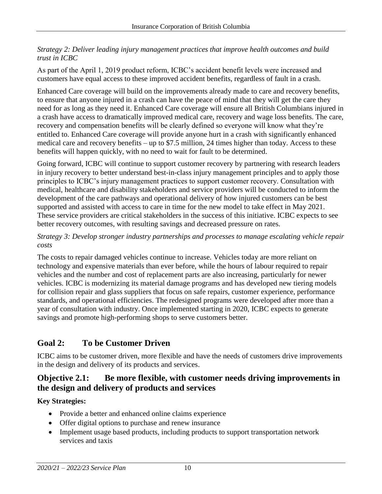#### *Strategy 2: Deliver leading injury management practices that improve health outcomes and build trust in ICBC*

As part of the April 1, 2019 product reform, ICBC's accident benefit levels were increased and customers have equal access to these improved accident benefits, regardless of fault in a crash.

Enhanced Care coverage will build on the improvements already made to care and recovery benefits, to ensure that anyone injured in a crash can have the peace of mind that they will get the care they need for as long as they need it. Enhanced Care coverage will ensure all British Columbians injured in a crash have access to dramatically improved medical care, recovery and wage loss benefits. The care, recovery and compensation benefits will be clearly defined so everyone will know what they're entitled to. Enhanced Care coverage will provide anyone hurt in a crash with significantly enhanced medical care and recovery benefits – up to \$7.5 million, 24 times higher than today. Access to these benefits will happen quickly, with no need to wait for fault to be determined.

Going forward, ICBC will continue to support customer recovery by partnering with research leaders in injury recovery to better understand best-in-class injury management principles and to apply those principles to ICBC's injury management practices to support customer recovery. Consultation with medical, healthcare and disability stakeholders and service providers will be conducted to inform the development of the care pathways and operational delivery of how injured customers can be best supported and assisted with access to care in time for the new model to take effect in May 2021. These service providers are critical stakeholders in the success of this initiative. ICBC expects to see better recovery outcomes, with resulting savings and decreased pressure on rates.

#### *Strategy 3: Develop stronger industry partnerships and processes to manage escalating vehicle repair costs*

The costs to repair damaged vehicles continue to increase. Vehicles today are more reliant on technology and expensive materials than ever before, while the hours of labour required to repair vehicles and the number and cost of replacement parts are also increasing, particularly for newer vehicles. ICBC is modernizing its material damage programs and has developed new tiering models for collision repair and glass suppliers that focus on safe repairs, customer experience, performance standards, and operational efficiencies. The redesigned programs were developed after more than a year of consultation with industry. Once implemented starting in 2020, ICBC expects to generate savings and promote high-performing shops to serve customers better.

# **Goal 2: To be Customer Driven**

ICBC aims to be customer driven, more flexible and have the needs of customers drive improvements in the design and delivery of its products and services.

### **Objective 2.1: Be more flexible, with customer needs driving improvements in the design and delivery of products and services**

#### **Key Strategies:**

- Provide a better and enhanced online claims experience
- Offer digital options to purchase and renew insurance
- Implement usage based products, including products to support transportation network services and taxis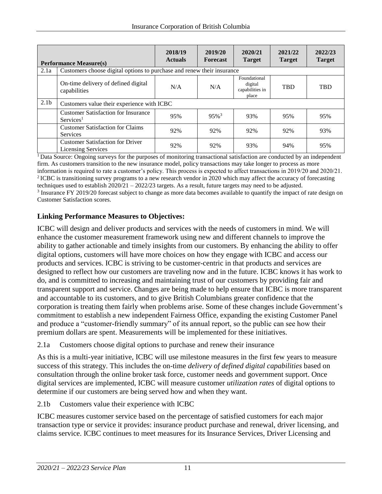|                  | <b>Performance Measure(s)</b>                                          | 2018/19<br><b>Actuals</b> | 2019/20<br><b>Forecast</b> | 2020/21<br><b>Target</b>                            | 2021/22<br><b>Target</b> | 2022/23<br><b>Target</b> |
|------------------|------------------------------------------------------------------------|---------------------------|----------------------------|-----------------------------------------------------|--------------------------|--------------------------|
| 2.1a             | Customers choose digital options to purchase and renew their insurance |                           |                            |                                                     |                          |                          |
|                  | On-time delivery of defined digital<br>capabilities                    | N/A                       | N/A                        | Foundational<br>digital<br>capabilities in<br>place | TBD                      | <b>TBD</b>               |
| 2.1 <sub>b</sub> | Customers value their experience with ICBC                             |                           |                            |                                                     |                          |                          |
|                  | <b>Customer Satisfaction for Insurance</b><br>Services <sup>1</sup>    | 95%                       | $95\%$ <sup>3</sup>        | 93%                                                 | 95%                      | 95%                      |
|                  | <b>Customer Satisfaction for Claims</b><br><b>Services</b>             | 92%                       | 92%                        | 92%                                                 | 92%                      | 93%                      |
|                  | <b>Customer Satisfaction for Driver</b><br><b>Licensing Services</b>   | 92%                       | 92%                        | 93%                                                 | 94%                      | 95%                      |

<sup>1</sup>Data Source: Ongoing surveys for the purposes of monitoring transactional satisfaction are conducted by an independent firm. As customers transition to the new insurance model, policy transactions may take longer to process as more information is required to rate a customer's policy. This process is expected to affect transactions in 2019/20 and 2020/21. <sup>2</sup>ICBC is transitioning survey programs to a new research vendor in 2020 which may affect the accuracy of forecasting techniques used to establish 2020/21 – 2022/23 targets. As a result, future targets may need to be adjusted. <sup>3</sup> Insurance FY 2019/20 forecast subject to change as more data becomes available to quantify the impact of rate design on

Customer Satisfaction scores.

#### **Linking Performance Measures to Objectives:**

ICBC will design and deliver products and services with the needs of customers in mind. We will enhance the customer measurement framework using new and different channels to improve the ability to gather actionable and timely insights from our customers. By enhancing the ability to offer digital options, customers will have more choices on how they engage with ICBC and access our products and services. ICBC is striving to be customer-centric in that products and services are designed to reflect how our customers are traveling now and in the future. ICBC knows it has work to do, and is committed to increasing and maintaining trust of our customers by providing fair and transparent support and service. Changes are being made to help ensure that ICBC is more transparent and accountable to its customers, and to give British Columbians greater confidence that the corporation is treating them fairly when problems arise. Some of these changes include Government's commitment to establish a new independent Fairness Office, expanding the existing Customer Panel and produce a "customer-friendly summary" of its annual report, so the public can see how their premium dollars are spent. Measurements will be implemented for these initiatives.

2.1a Customers choose digital options to purchase and renew their insurance

As this is a multi-year initiative, ICBC will use milestone measures in the first few years to measure success of this strategy. This includes the on-time *delivery of defined digital capabilities* based on consultation through the online broker task force, customer needs and government support. Once digital services are implemented, ICBC will measure customer *utilization rates* of digital options to determine if our customers are being served how and when they want.

2.1b Customers value their experience with ICBC

ICBC measures customer service based on the percentage of satisfied customers for each major transaction type or service it provides: insurance product purchase and renewal, driver licensing, and claims service. ICBC continues to meet measures for its Insurance Services, Driver Licensing and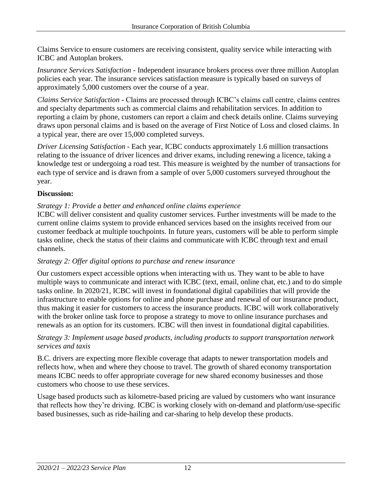Claims Service to ensure customers are receiving consistent, quality service while interacting with ICBC and Autoplan brokers.

*Insurance Services Satisfaction* - Independent insurance brokers process over three million Autoplan policies each year. The insurance services satisfaction measure is typically based on surveys of approximately 5,000 customers over the course of a year.

*Claims Service Satisfaction -* Claims are processed through ICBC's claims call centre, claims centres and specialty departments such as commercial claims and rehabilitation services. In addition to reporting a claim by phone, customers can report a claim and check details online. Claims surveying draws upon personal claims and is based on the average of First Notice of Loss and closed claims. In a typical year, there are over 15,000 completed surveys.

*Driver Licensing Satisfaction -* Each year, ICBC conducts approximately 1.6 million transactions relating to the issuance of driver licences and driver exams, including renewing a licence, taking a knowledge test or undergoing a road test. This measure is weighted by the number of transactions for each type of service and is drawn from a sample of over 5,000 customers surveyed throughout the year.

#### **Discussion:**

#### *Strategy 1: Provide a better and enhanced online claims experience*

ICBC will deliver consistent and quality customer services. Further investments will be made to the current online claims system to provide enhanced services based on the insights received from our customer feedback at multiple touchpoints. In future years, customers will be able to perform simple tasks online, check the status of their claims and communicate with ICBC through text and email channels.

#### *Strategy 2: Offer digital options to purchase and renew insurance*

Our customers expect accessible options when interacting with us. They want to be able to have multiple ways to communicate and interact with ICBC (text, email, online chat, etc.) and to do simple tasks online. In 2020/21, ICBC will invest in foundational digital capabilities that will provide the infrastructure to enable options for online and phone purchase and renewal of our insurance product, thus making it easier for customers to access the insurance products. ICBC will work collaboratively with the broker online task force to propose a strategy to move to online insurance purchases and renewals as an option for its customers. ICBC will then invest in foundational digital capabilities.

#### *Strategy 3: Implement usage based products, including products to support transportation network services and taxis*

B.C. drivers are expecting more flexible coverage that adapts to newer transportation models and reflects how, when and where they choose to travel. The growth of shared economy transportation means ICBC needs to offer appropriate coverage for new shared economy businesses and those customers who choose to use these services.

Usage based products such as kilometre-based pricing are valued by customers who want insurance that reflects how they're driving. ICBC is working closely with on-demand and platform/use-specific based businesses, such as ride-hailing and car-sharing to help develop these products.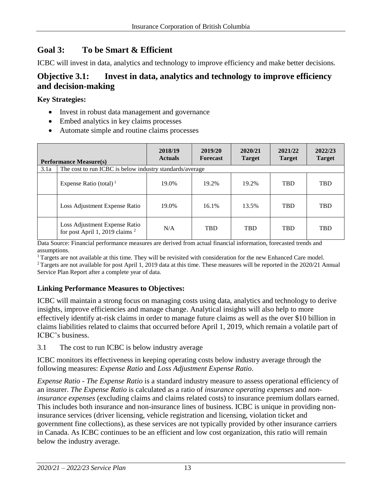# **Goal 3: To be Smart & Efficient**

ICBC will invest in data, analytics and technology to improve efficiency and make better decisions.

### **Objective 3.1: Invest in data, analytics and technology to improve efficiency and decision-making**

#### **Key Strategies:**

- Invest in robust data management and governance
- Embed analytics in key claims processes
- Automate simple and routine claims processes

| <b>Performance Measure(s)</b> |                                                                             | 2018/19<br><b>Actuals</b> | 2019/20<br><b>Forecast</b> | 2020/21<br><b>Target</b> | 2021/22<br><b>Target</b> | 2022/23<br><b>Target</b> |
|-------------------------------|-----------------------------------------------------------------------------|---------------------------|----------------------------|--------------------------|--------------------------|--------------------------|
| 3.1a                          | The cost to run ICBC is below industry standards/average                    |                           |                            |                          |                          |                          |
|                               | Expense Ratio (total) <sup>1</sup>                                          | 19.0%                     | 19.2%                      | 19.2%                    | <b>TBD</b>               | <b>TBD</b>               |
|                               | Loss Adjustment Expense Ratio                                               | 19.0%                     | 16.1%                      | 13.5%                    | <b>TBD</b>               | <b>TBD</b>               |
|                               | Loss Adjustment Expense Ratio<br>for post April 1, 2019 claims <sup>2</sup> | N/A                       | <b>TBD</b>                 | <b>TBD</b>               | <b>TBD</b>               | <b>TBD</b>               |

Data Source: Financial performance measures are derived from actual financial information, forecasted trends and assumptions.

<sup>1</sup>Targets are not available at this time. They will be revisited with consideration for the new Enhanced Care model.

 $2$ Targets are not available for post April 1, 2019 data at this time. These measures will be reported in the 2020/21 Annual Service Plan Report after a complete year of data.

#### **Linking Performance Measures to Objectives:**

ICBC will maintain a strong focus on managing costs using data, analytics and technology to derive insights, improve efficiencies and manage change. Analytical insights will also help to more effectively identify at-risk claims in order to manage future claims as well as the over \$10 billion in claims liabilities related to claims that occurred before April 1, 2019, which remain a volatile part of ICBC's business.

3.1 The cost to run ICBC is below industry average

ICBC monitors its effectiveness in keeping operating costs below industry average through the following measures: *Expense Ratio* and *Loss Adjustment Expense Ratio*.

*Expense Ratio* - *The Expense Ratio* is a standard industry measure to assess operational efficiency of an insurer. *The Expense Ratio* is calculated as a ratio of *insurance operating expenses* and *noninsurance expenses* (excluding claims and claims related costs) to insurance premium dollars earned. This includes both insurance and non-insurance lines of business. ICBC is unique in providing noninsurance services (driver licensing, vehicle registration and licensing, violation ticket and government fine collections), as these services are not typically provided by other insurance carriers in Canada. As ICBC continues to be an efficient and low cost organization, this ratio will remain below the industry average.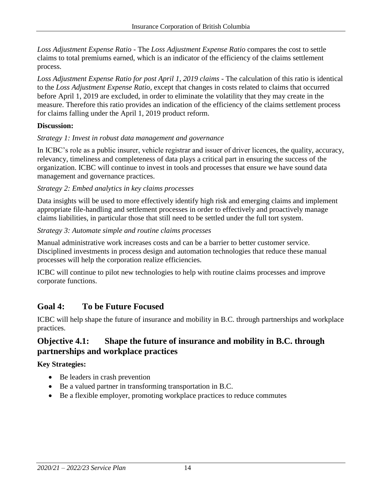*Loss Adjustment Expense Ratio* - The *Loss Adjustment Expense Ratio* compares the cost to settle claims to total premiums earned, which is an indicator of the efficiency of the claims settlement process.

*Loss Adjustment Expense Ratio for post April 1, 2019 claims* - The calculation of this ratio is identical to the *Loss Adjustment Expense Ratio*, except that changes in costs related to claims that occurred before April 1, 2019 are excluded, in order to eliminate the volatility that they may create in the measure. Therefore this ratio provides an indication of the efficiency of the claims settlement process for claims falling under the April 1, 2019 product reform.

#### **Discussion:**

#### *Strategy 1: Invest in robust data management and governance*

In ICBC's role as a public insurer, vehicle registrar and issuer of driver licences, the quality, accuracy, relevancy, timeliness and completeness of data plays a critical part in ensuring the success of the organization. ICBC will continue to invest in tools and processes that ensure we have sound data management and governance practices.

#### *Strategy 2: Embed analytics in key claims processes*

Data insights will be used to more effectively identify high risk and emerging claims and implement appropriate file-handling and settlement processes in order to effectively and proactively manage claims liabilities, in particular those that still need to be settled under the full tort system.

#### *Strategy 3: Automate simple and routine claims processes*

Manual administrative work increases costs and can be a barrier to better customer service. Disciplined investments in process design and automation technologies that reduce these manual processes will help the corporation realize efficiencies.

ICBC will continue to pilot new technologies to help with routine claims processes and improve corporate functions.

# **Goal 4: To be Future Focused**

ICBC will help shape the future of insurance and mobility in B.C. through partnerships and workplace practices.

### **Objective 4.1: Shape the future of insurance and mobility in B.C. through partnerships and workplace practices**

#### **Key Strategies:**

- Be leaders in crash prevention
- Be a valued partner in transforming transportation in B.C.
- Be a flexible employer, promoting workplace practices to reduce commutes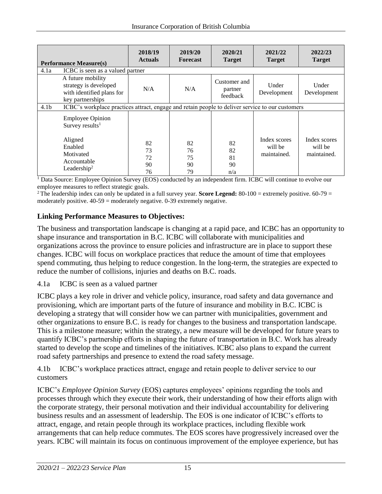| <b>Performance Measure(s)</b> |                                                                                                  | 2018/19<br><b>Actuals</b>  | 2019/20<br><b>Forecast</b> | 2020/21<br><b>Target</b>            | 2021/22<br><b>Target</b>               | 2022/23<br><b>Target</b>               |
|-------------------------------|--------------------------------------------------------------------------------------------------|----------------------------|----------------------------|-------------------------------------|----------------------------------------|----------------------------------------|
| 4.1a                          | ICBC is seen as a valued partner                                                                 |                            |                            |                                     |                                        |                                        |
|                               | A future mobility<br>strategy is developed<br>with identified plans for<br>key partnerships      | N/A                        | N/A                        | Customer and<br>partner<br>feedback | Under<br>Development                   | Under<br>Development                   |
| 4.1 <sub>b</sub>              | ICBC's workplace practices attract, engage and retain people to deliver service to our customers |                            |                            |                                     |                                        |                                        |
|                               | <b>Employee Opinion</b><br>Survey results <sup>1</sup>                                           |                            |                            |                                     |                                        |                                        |
|                               | Aligned<br>Enabled<br>Motivated<br>Accountable<br>Leadership <sup>2</sup>                        | 82<br>73<br>72<br>90<br>76 | 82<br>76<br>75<br>90<br>79 | 82<br>82<br>81<br>90<br>n/a         | Index scores<br>will be<br>maintained. | Index scores<br>will be<br>maintained. |

<sup>1</sup> Data Source: Employee Opinion Survey (EOS) conducted by an independent firm. ICBC will continue to evolve our employee measures to reflect strategic goals.

<sup>2</sup>The leadership index can only be updated in a full survey year. **Score Legend:**  $80-100 =$  extremely positive.  $60-79 =$ moderately positive.  $40-59$  = moderately negative. 0-39 extremely negative.

#### **Linking Performance Measures to Objectives:**

The business and transportation landscape is changing at a rapid pace, and ICBC has an opportunity to shape insurance and transportation in B.C. ICBC will collaborate with municipalities and organizations across the province to ensure policies and infrastructure are in place to support these changes. ICBC will focus on workplace practices that reduce the amount of time that employees spend commuting, thus helping to reduce congestion. In the long-term, the strategies are expected to reduce the number of collisions, injuries and deaths on B.C. roads.

4.1a ICBC is seen as a valued partner

ICBC plays a key role in driver and vehicle policy, insurance, road safety and data governance and provisioning, which are important parts of the future of insurance and mobility in B.C. ICBC is developing a strategy that will consider how we can partner with municipalities, government and other organizations to ensure B.C. is ready for changes to the business and transportation landscape. This is a milestone measure; within the strategy, a new measure will be developed for future years to quantify ICBC's partnership efforts in shaping the future of transportation in B.C. Work has already started to develop the scope and timelines of the initiatives. ICBC also plans to expand the current road safety partnerships and presence to extend the road safety message.

4.1b ICBC's workplace practices attract, engage and retain people to deliver service to our customers

ICBC's *Employee Opinion Survey* (EOS) captures employees' opinions regarding the tools and processes through which they execute their work, their understanding of how their efforts align with the corporate strategy, their personal motivation and their individual accountability for delivering business results and an assessment of leadership. The EOS is one indicator of ICBC's efforts to attract, engage, and retain people through its workplace practices, including flexible work arrangements that can help reduce commutes. The EOS scores have progressively increased over the years. ICBC will maintain its focus on continuous improvement of the employee experience, but has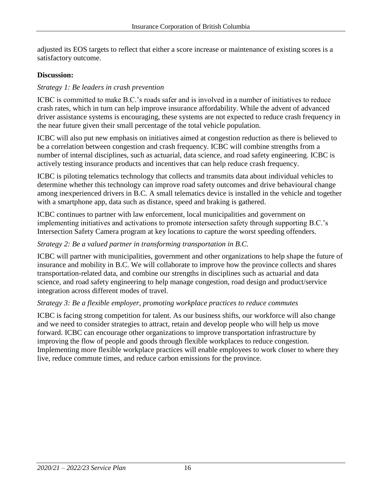adjusted its EOS targets to reflect that either a score increase or maintenance of existing scores is a satisfactory outcome.

#### **Discussion:**

#### *Strategy 1: Be leaders in crash prevention*

ICBC is committed to make B.C.'s roads safer and is involved in a number of initiatives to reduce crash rates, which in turn can help improve insurance affordability. While the advent of advanced driver assistance systems is encouraging, these systems are not expected to reduce crash frequency in the near future given their small percentage of the total vehicle population.

ICBC will also put new emphasis on initiatives aimed at congestion reduction as there is believed to be a correlation between congestion and crash frequency. ICBC will combine strengths from a number of internal disciplines, such as actuarial, data science, and road safety engineering. ICBC is actively testing insurance products and incentives that can help reduce crash frequency.

ICBC is piloting telematics technology that collects and transmits data about individual vehicles to determine whether this technology can improve road safety outcomes and drive behavioural change among inexperienced drivers in B.C. A small telematics device is installed in the vehicle and together with a smartphone app, data such as distance, speed and braking is gathered.

ICBC continues to partner with law enforcement, local municipalities and government on implementing initiatives and activations to promote intersection safety through supporting B.C.'s Intersection Safety Camera program at key locations to [capture the worst speeding offenders.](https://news.gov.bc.ca/releases/2018PSSG0015-000342)

#### *Strategy 2: Be a valued partner in transforming transportation in B.C.*

ICBC will partner with municipalities, government and other organizations to help shape the future of insurance and mobility in B.C. We will collaborate to improve how the province collects and shares transportation-related data, and combine our strengths in disciplines such as actuarial and data science, and road safety engineering to help manage congestion, road design and product/service integration across different modes of travel.

#### *Strategy 3: Be a flexible employer, promoting workplace practices to reduce commutes*

ICBC is facing strong competition for talent. As our business shifts, our workforce will also change and we need to consider strategies to attract, retain and develop people who will help us move forward. ICBC can encourage other organizations to improve transportation infrastructure by improving the flow of people and goods through flexible workplaces to reduce congestion. Implementing more flexible workplace practices will enable employees to work closer to where they live, reduce commute times, and reduce carbon emissions for the province.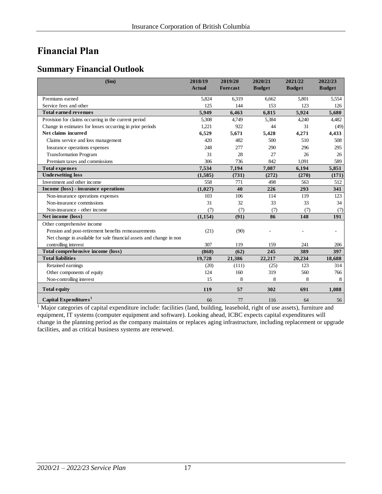# <span id="page-16-0"></span>**Financial Plan**

### <span id="page-16-1"></span>**Summary Financial Outlook**

| \$m\$                                                               | 2018/19<br><b>Actual</b> | 2019/20<br>Forecast | 2020/21<br><b>Budget</b> | 2021/22<br><b>Budget</b> | 2022/23<br><b>Budget</b> |
|---------------------------------------------------------------------|--------------------------|---------------------|--------------------------|--------------------------|--------------------------|
|                                                                     |                          |                     |                          |                          |                          |
| Premiums earned                                                     | 5,824                    | 6,319               | 6,662                    | 5,801                    | 5,554                    |
| Service fees and other                                              | 125                      | 144                 | 153                      | 123                      | 126                      |
| <b>Total earned revenues</b>                                        | 5,949                    | 6,463               | 6,815                    | 5,924                    | 5,680                    |
| Provision for claims occurring in the current period                | 5,308                    | 4,749               | 5,384                    | 4,240                    | 4,482                    |
| Change in estimates for losses occurring in prior periods           | 1,221                    | 922                 | 44                       | 31                       | (49)                     |
| Net claims incurred                                                 | 6,529                    | 5,671               | 5,428                    | 4,271                    | 4,433                    |
| Claims service and loss management                                  | 420                      | 482                 | 500                      | 510                      | 508                      |
| Insurance operations expenses                                       | 248                      | 277                 | 290                      | 296                      | 295                      |
| <b>Transformation Program</b>                                       | 31                       | 28                  | 27                       | 26                       | 26                       |
| Premium taxes and commissions                                       | 306                      | 736                 | 842                      | 1,091                    | 589                      |
| <b>Total expenses</b>                                               | 7,534                    | 7,194               | 7,087                    | 6,194                    | 5,851                    |
| <b>Underwriting loss</b>                                            | (1,585)                  | (731)               | (272)                    | (270)                    | (171)                    |
| Investment and other income                                         | 558                      | 771                 | 498                      | 563                      | 512                      |
| Income (loss) - insurance operations                                | (1,027)                  | 40                  | 226                      | 293                      | 341                      |
| Non-insurance operations expenses                                   | 103                      | 106                 | 114                      | 119                      | 123                      |
| Non-insurance commissions                                           | 31                       | 32                  | 33                       | 33                       | 34                       |
| Non-insurance - other income                                        | (7)                      | (7)                 | (7)                      | (7)                      | (7)                      |
| Net income (loss)                                                   | (1, 154)                 | (91)                | 86                       | 148                      | 191                      |
| Other comprehensive income                                          |                          |                     |                          |                          |                          |
| Pension and post-retirement benefits remeasurements                 | (21)                     | (90)                |                          |                          |                          |
| Net change in available for sale financial assets and change in non |                          |                     |                          |                          |                          |
| controlling interest                                                | 307                      | 119                 | 159                      | 241                      | 206                      |
| Total comprehensive income (loss)                                   | (868)                    | (62)                | 245                      | 389                      | 397                      |
| <b>Total liabilities</b>                                            | 19,728                   | 21,386              | 22,217                   | 20,234                   | 18,688                   |
| Retained earnings                                                   | (20)                     | (111)               | (25)                     | 123                      | 314                      |
| Other components of equity                                          | 124                      | 160                 | 319                      | 560                      | 766                      |
| Non-controlling interest                                            | 15                       | 8                   | 8                        | 8                        | 8                        |
| <b>Total equity</b>                                                 | 119                      | 57                  | 302                      | 691                      | 1,088                    |
| Capital Expenditures <sup>1</sup>                                   | 66                       | 77                  | 116                      | 64                       | 56                       |

<sup>1</sup> Major categories of capital expenditure include: facilities (land, building, leasehold, right of use assets), furniture and equipment, IT systems (computer equipment and software). Looking ahead, ICBC expects capital expenditures will change in the planning period as the company maintains or replaces aging infrastructure, including replacement or upgrade facilities, and as critical business systems are renewed.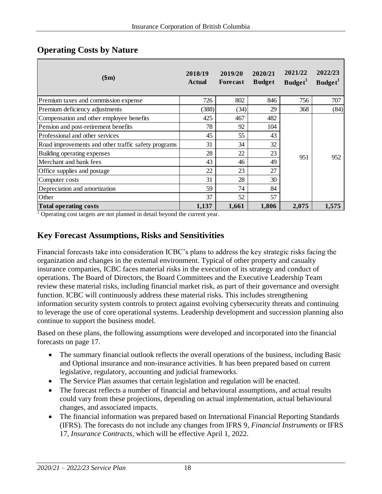| \$m\$                                               | 2018/19<br><b>Actual</b> | 2019/20<br><b>Forecast</b> | 2020/21<br><b>Budget</b> | 2021/22<br>Budget <sup>1</sup> | 2022/23<br>Budget <sup>1</sup> |
|-----------------------------------------------------|--------------------------|----------------------------|--------------------------|--------------------------------|--------------------------------|
| Premium taxes and commission expense                | 726                      | 802                        | 846                      | 756                            | 707                            |
| Premium deficiency adjustments                      | (388)                    | (34)                       | 29                       | 368                            | (84)                           |
| Compensation and other employee benefits            | 425                      | 467                        | 482                      |                                | 952                            |
| Pension and post-retirement benefits                | 78                       | 92                         | 104                      |                                |                                |
| Professional and other services                     | 45                       | 55                         | 43                       |                                |                                |
| Road improvements and other traffic safety programs | 31                       | 34                         | 32                       |                                |                                |
| Building operating expenses                         | 28                       | 22                         | 23                       | 951                            |                                |
| Merchant and bank fees                              | 43                       | 46                         | 49                       |                                |                                |
| Office supplies and postage                         | 22                       | 23                         | 27                       |                                |                                |
| Computer costs                                      | 31                       | 28                         | 30                       |                                |                                |
| Depreciation and amortization                       | 59                       | 74                         | 84                       |                                |                                |
| Other                                               | 37                       | 52                         | 57                       |                                |                                |
| <b>Total operating costs</b>                        | 1,137                    | 1,661                      | 1,806                    | 2,075                          | 1,575                          |

### <span id="page-17-0"></span>**Operating Costs by Nature**

<sup>1</sup> Operating cost targets are not planned in detail beyond the current year.

### <span id="page-17-1"></span>**Key Forecast Assumptions, Risks and Sensitivities**

Financial forecasts take into consideration ICBC's plans to address the key strategic risks facing the organization and changes in the external environment. Typical of other property and casualty insurance companies, ICBC faces material risks in the execution of its strategy and conduct of operations. The Board of Directors, the Board Committees and the Executive Leadership Team review these material risks, including financial market risk, as part of their governance and oversight function. ICBC will continuously address these material risks. This includes strengthening information security system controls to protect against evolving cybersecurity threats and continuing to leverage the use of core operational systems. Leadership development and succession planning also continue to support the business model.

Based on these plans, the following assumptions were developed and incorporated into the financial forecasts on page 17.

- The summary financial outlook reflects the overall operations of the business, including Basic and Optional insurance and non-insurance activities. It has been prepared based on current legislative, regulatory, accounting and judicial frameworks.
- The Service Plan assumes that certain legislation and regulation will be enacted.
- The forecast reflects a number of financial and behavioural assumptions, and actual results could vary from these projections, depending on actual implementation, actual behavioural changes, and associated impacts.
- The financial information was prepared based on International Financial Reporting Standards (IFRS). The forecasts do not include any changes from IFRS 9, *Financial Instruments* or IFRS 17, *Insurance Contracts*, which will be effective April 1, 2022.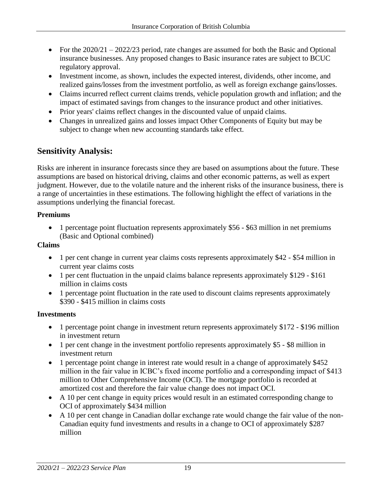- For the 2020/21 2022/23 period, rate changes are assumed for both the Basic and Optional insurance businesses. Any proposed changes to Basic insurance rates are subject to BCUC regulatory approval.
- Investment income, as shown, includes the expected interest, dividends, other income, and realized gains/losses from the investment portfolio, as well as foreign exchange gains/losses.
- Claims incurred reflect current claims trends, vehicle population growth and inflation; and the impact of estimated savings from changes to the insurance product and other initiatives.
- Prior years' claims reflect changes in the discounted value of unpaid claims.
- Changes in unrealized gains and losses impact Other Components of Equity but may be subject to change when new accounting standards take effect.

### <span id="page-18-0"></span>**Sensitivity Analysis:**

Risks are inherent in insurance forecasts since they are based on assumptions about the future. These assumptions are based on historical driving, claims and other economic patterns, as well as expert judgment. However, due to the volatile nature and the inherent risks of the insurance business, there is a range of uncertainties in these estimations. The following highlight the effect of variations in the assumptions underlying the financial forecast.

#### **Premiums**

 1 percentage point fluctuation represents approximately \$56 - \$63 million in net premiums (Basic and Optional combined)

#### **Claims**

- 1 per cent change in current year claims costs represents approximately \$42 \$54 million in current year claims costs
- 1 per cent fluctuation in the unpaid claims balance represents approximately \$129 \$161 million in claims costs
- 1 percentage point fluctuation in the rate used to discount claims represents approximately \$390 - \$415 million in claims costs

#### **Investments**

- 1 percentage point change in investment return represents approximately \$172 \$196 million in investment return
- 1 per cent change in the investment portfolio represents approximately \$5 \$8 million in investment return
- 1 percentage point change in interest rate would result in a change of approximately \$452 million in the fair value in ICBC's fixed income portfolio and a corresponding impact of \$413 million to Other Comprehensive Income (OCI). The mortgage portfolio is recorded at amortized cost and therefore the fair value change does not impact OCI.
- A 10 per cent change in equity prices would result in an estimated corresponding change to OCI of approximately \$434 million
- A 10 per cent change in Canadian dollar exchange rate would change the fair value of the non-Canadian equity fund investments and results in a change to OCI of approximately \$287 million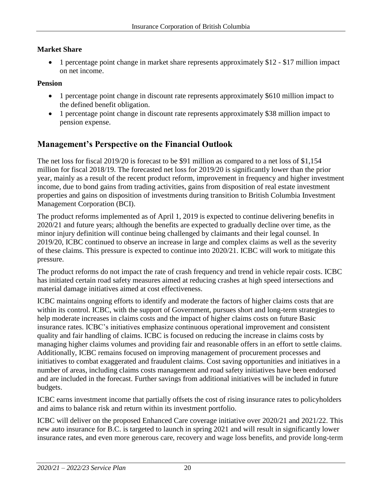#### **Market Share**

 1 percentage point change in market share represents approximately \$12 - \$17 million impact on net income.

#### **Pension**

- 1 percentage point change in discount rate represents approximately \$610 million impact to the defined benefit obligation.
- 1 percentage point change in discount rate represents approximately \$38 million impact to pension expense.

### <span id="page-19-0"></span>**Management's Perspective on the Financial Outlook**

The net loss for fiscal 2019/20 is forecast to be \$91 million as compared to a net loss of \$1,154 million for fiscal 2018/19. The forecasted net loss for 2019/20 is significantly lower than the prior year, mainly as a result of the recent product reform, improvement in frequency and higher investment income, due to bond gains from trading activities, gains from disposition of real estate investment properties and gains on disposition of investments during transition to British Columbia Investment Management Corporation (BCI).

The product reforms implemented as of April 1, 2019 is expected to continue delivering benefits in 2020/21 and future years; although the benefits are expected to gradually decline over time, as the minor injury definition will continue being challenged by claimants and their legal counsel. In 2019/20, ICBC continued to observe an increase in large and complex claims as well as the severity of these claims. This pressure is expected to continue into 2020/21. ICBC will work to mitigate this pressure.

The product reforms do not impact the rate of crash frequency and trend in vehicle repair costs. ICBC has initiated certain road safety measures aimed at reducing crashes at high speed intersections and material damage initiatives aimed at cost effectiveness.

ICBC maintains ongoing efforts to identify and moderate the factors of higher claims costs that are within its control. ICBC, with the support of Government, pursues short and long-term strategies to help moderate increases in claims costs and the impact of higher claims costs on future Basic insurance rates. ICBC's initiatives emphasize continuous operational improvement and consistent quality and fair handling of claims. ICBC is focused on reducing the increase in claims costs by managing higher claims volumes and providing fair and reasonable offers in an effort to settle claims. Additionally, ICBC remains focused on improving management of procurement processes and initiatives to combat exaggerated and fraudulent claims. Cost saving opportunities and initiatives in a number of areas, including claims costs management and road safety initiatives have been endorsed and are included in the forecast. Further savings from additional initiatives will be included in future budgets.

ICBC earns investment income that partially offsets the cost of rising insurance rates to policyholders and aims to balance risk and return within its investment portfolio.

ICBC will deliver on the proposed Enhanced Care coverage initiative over 2020/21 and 2021/22. This new auto insurance for B.C. is targeted to launch in spring 2021 and will result in significantly lower insurance rates, and even more generous care, recovery and wage loss benefits, and provide long-term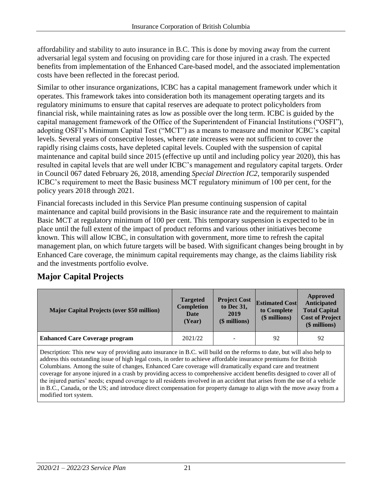affordability and stability to auto insurance in B.C. This is done by moving away from the current adversarial legal system and focusing on providing care for those injured in a crash. The expected benefits from implementation of the Enhanced Care-based model, and the associated implementation costs have been reflected in the forecast period.

Similar to other insurance organizations, ICBC has a capital management framework under which it operates. This framework takes into consideration both its management operating targets and its regulatory minimums to ensure that capital reserves are adequate to protect policyholders from financial risk, while maintaining rates as low as possible over the long term. ICBC is guided by the capital management framework of the Office of the Superintendent of Financial Institutions ("OSFI"), adopting OSFI's Minimum Capital Test ("MCT") as a means to measure and monitor ICBC's capital levels. Several years of consecutive losses, where rate increases were not sufficient to cover the rapidly rising claims costs, have depleted capital levels. Coupled with the suspension of capital maintenance and capital build since 2015 (effective up until and including policy year 2020), this has resulted in capital levels that are well under ICBC's management and regulatory capital targets. Order in Council 067 dated February 26, 2018, amending *Special Direction IC2*, temporarily suspended ICBC's requirement to meet the Basic business MCT regulatory minimum of 100 per cent, for the policy years 2018 through 2021.

Financial forecasts included in this Service Plan presume continuing suspension of capital maintenance and capital build provisions in the Basic insurance rate and the requirement to maintain Basic MCT at regulatory minimum of 100 per cent. This temporary suspension is expected to be in place until the full extent of the impact of product reforms and various other initiatives become known. This will allow ICBC, in consultation with government, more time to refresh the capital management plan, on which future targets will be based. With significant changes being brought in by Enhanced Care coverage, the minimum capital requirements may change, as the claims liability risk and the investments portfolio evolve.

### <span id="page-20-0"></span>**Major Capital Projects**

| <b>Major Capital Projects (over \$50 million)</b> | <b>Targeted</b><br><b>Completion</b><br>Date<br>(Year) | <b>Project Cost</b><br>to Dec 31,<br>2019<br>(\$ millions) | <b>Estimated Cost</b><br>to Complete<br>(\$ millions) | Approved<br>Anticipated<br><b>Total Capital</b><br><b>Cost of Project</b><br>$$$ millions) |
|---------------------------------------------------|--------------------------------------------------------|------------------------------------------------------------|-------------------------------------------------------|--------------------------------------------------------------------------------------------|
| <b>Enhanced Care Coverage program</b>             | 2021/22                                                |                                                            | 92                                                    | 92                                                                                         |

Description: This new way of providing auto insurance in B.C. will build on the reforms to date, but will also help to address this outstanding issue of high legal costs, in order to achieve affordable insurance premiums for British Columbians. Among the suite of changes, Enhanced Care coverage will dramatically expand care and treatment coverage for anyone injured in a crash by providing access to comprehensive accident benefits designed to cover all of the injured parties' needs; expand coverage to all residents involved in an accident that arises from the use of a vehicle in B.C., Canada, or the US; and introduce direct compensation for property damage to align with the move away from a modified tort system.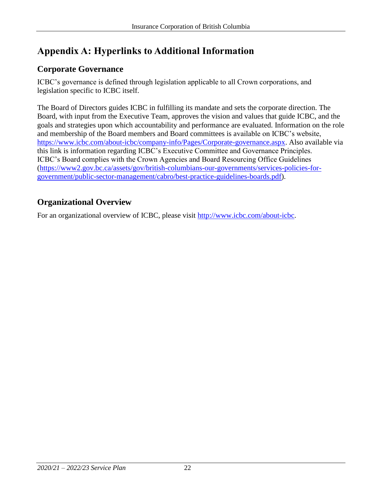# <span id="page-21-0"></span>**Appendix A: Hyperlinks to Additional Information**

# <span id="page-21-1"></span>**Corporate Governance**

ICBC's governance is defined through legislation applicable to all Crown corporations, and legislation specific to ICBC itself.

The Board of Directors guides ICBC in fulfilling its mandate and sets the corporate direction. The Board, with input from the Executive Team, approves the vision and values that guide ICBC, and the goals and strategies upon which accountability and performance are evaluated. Information on the role and membership of the Board members and Board committees is available on ICBC's website, [https://www.icbc.com/about-icbc/company-info/Pages/Corporate-governance.aspx.](https://www.icbc.com/about-icbc/company-info/Pages/Corporate-governance.aspx) Also available via this link is information regarding ICBC's Executive Committee and Governance Principles. ICBC's Board complies with the Crown Agencies and Board Resourcing Office Guidelines [\(https://www2.gov.bc.ca/assets/gov/british-columbians-our-governments/services-policies-for](https://www2.gov.bc.ca/assets/gov/british-columbians-our-governments/services-policies-for-government/public-sector-management/cabro/best-practice-guidelines-boards.pdf)[government/public-sector-management/cabro/best-practice-guidelines-boards.pdf\)](https://www2.gov.bc.ca/assets/gov/british-columbians-our-governments/services-policies-for-government/public-sector-management/cabro/best-practice-guidelines-boards.pdf).

# <span id="page-21-2"></span>**Organizational Overview**

For an organizational overview of ICBC, please visit [http://www.icbc.com/about-icbc.](http://www.icbc.com/about-icbc)